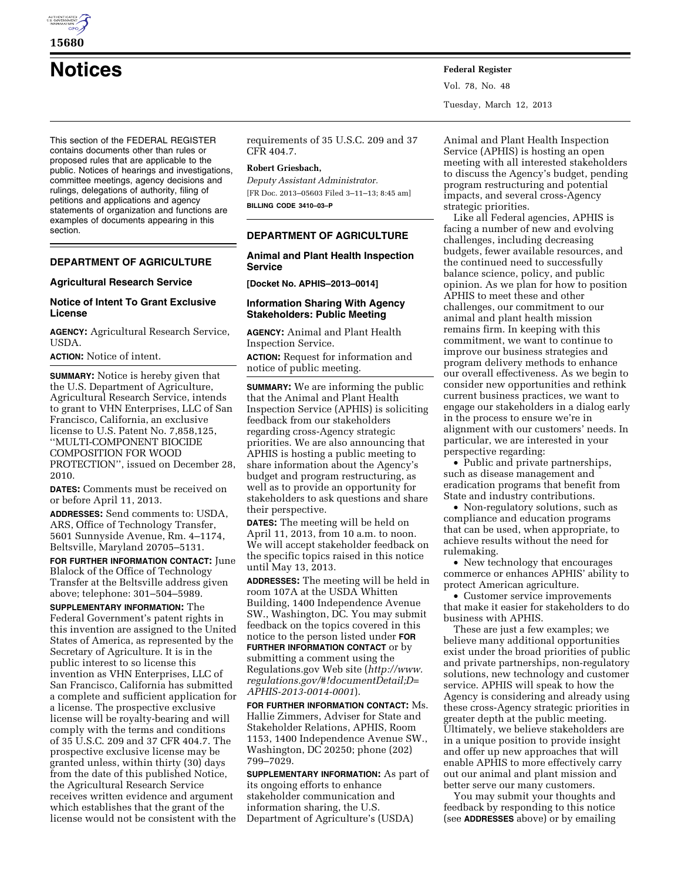

**15680** 

**Notices Federal Register**

This section of the FEDERAL REGISTER contains documents other than rules or proposed rules that are applicable to the public. Notices of hearings and investigations, committee meetings, agency decisions and rulings, delegations of authority, filing of petitions and applications and agency statements of organization and functions are examples of documents appearing in this section.

# **DEPARTMENT OF AGRICULTURE**

## **Agricultural Research Service**

## **Notice of Intent To Grant Exclusive License**

**AGENCY:** Agricultural Research Service, USDA.

**ACTION:** Notice of intent.

**SUMMARY:** Notice is hereby given that the U.S. Department of Agriculture, Agricultural Research Service, intends to grant to VHN Enterprises, LLC of San Francisco, California, an exclusive license to U.S. Patent No. 7,858,125, ''MULTI-COMPONENT BIOCIDE COMPOSITION FOR WOOD PROTECTION'', issued on December 28, 2010.

**DATES:** Comments must be received on or before April 11, 2013.

**ADDRESSES:** Send comments to: USDA, ARS, Office of Technology Transfer, 5601 Sunnyside Avenue, Rm. 4–1174, Beltsville, Maryland 20705–5131.

**FOR FURTHER INFORMATION CONTACT:** June Blalock of the Office of Technology Transfer at the Beltsville address given above; telephone: 301–504–5989.

**SUPPLEMENTARY INFORMATION:** The Federal Government's patent rights in this invention are assigned to the United States of America, as represented by the Secretary of Agriculture. It is in the public interest to so license this invention as VHN Enterprises, LLC of San Francisco, California has submitted a complete and sufficient application for a license. The prospective exclusive license will be royalty-bearing and will comply with the terms and conditions of 35 U.S.C. 209 and 37 CFR 404.7. The prospective exclusive license may be granted unless, within thirty (30) days from the date of this published Notice, the Agricultural Research Service receives written evidence and argument which establishes that the grant of the license would not be consistent with the

requirements of 35 U.S.C. 209 and 37 CFR 404.7.

### **Robert Griesbach,**

*Deputy Assistant Administrator.*  [FR Doc. 2013–05603 Filed 3–11–13; 8:45 am] **BILLING CODE 3410–03–P** 

# **DEPARTMENT OF AGRICULTURE**

**Animal and Plant Health Inspection Service** 

**[Docket No. APHIS–2013–0014]** 

## **Information Sharing With Agency Stakeholders: Public Meeting**

**AGENCY:** Animal and Plant Health Inspection Service.

**ACTION:** Request for information and notice of public meeting.

**SUMMARY:** We are informing the public that the Animal and Plant Health Inspection Service (APHIS) is soliciting feedback from our stakeholders regarding cross-Agency strategic priorities. We are also announcing that APHIS is hosting a public meeting to share information about the Agency's budget and program restructuring, as well as to provide an opportunity for stakeholders to ask questions and share their perspective.

**DATES:** The meeting will be held on April 11, 2013, from 10 a.m. to noon. We will accept stakeholder feedback on the specific topics raised in this notice until May 13, 2013.

**ADDRESSES:** The meeting will be held in room 107A at the USDA Whitten Building, 1400 Independence Avenue SW., Washington, DC. You may submit feedback on the topics covered in this notice to the person listed under **FOR FURTHER INFORMATION CONTACT** or by submitting a comment using the Regulations.gov Web site (*[http://www.](http://www.regulations.gov/#!documentDetail;D=APHIS-2013-0014-0001) [regulations.gov/#!documentDetail;D=](http://www.regulations.gov/#!documentDetail;D=APHIS-2013-0014-0001) [APHIS-2013-0014-0001](http://www.regulations.gov/#!documentDetail;D=APHIS-2013-0014-0001)*).

**FOR FURTHER INFORMATION CONTACT:** Ms. Hallie Zimmers, Adviser for State and Stakeholder Relations, APHIS, Room 1153, 1400 Independence Avenue SW., Washington, DC 20250; phone (202) 799–7029.

**SUPPLEMENTARY INFORMATION:** As part of its ongoing efforts to enhance stakeholder communication and information sharing, the U.S. Department of Agriculture's (USDA)

Animal and Plant Health Inspection Service (APHIS) is hosting an open meeting with all interested stakeholders to discuss the Agency's budget, pending program restructuring and potential impacts, and several cross-Agency strategic priorities.

Like all Federal agencies, APHIS is facing a number of new and evolving challenges, including decreasing budgets, fewer available resources, and the continued need to successfully balance science, policy, and public opinion. As we plan for how to position APHIS to meet these and other challenges, our commitment to our animal and plant health mission remains firm. In keeping with this commitment, we want to continue to improve our business strategies and program delivery methods to enhance our overall effectiveness. As we begin to consider new opportunities and rethink current business practices, we want to engage our stakeholders in a dialog early in the process to ensure we're in alignment with our customers' needs. In particular, we are interested in your perspective regarding:

• Public and private partnerships, such as disease management and eradication programs that benefit from State and industry contributions.

• Non-regulatory solutions, such as compliance and education programs that can be used, when appropriate, to achieve results without the need for rulemaking.

• New technology that encourages commerce or enhances APHIS' ability to protect American agriculture.

• Customer service improvements that make it easier for stakeholders to do business with APHIS.

These are just a few examples; we believe many additional opportunities exist under the broad priorities of public and private partnerships, non-regulatory solutions, new technology and customer service. APHIS will speak to how the Agency is considering and already using these cross-Agency strategic priorities in greater depth at the public meeting. Ultimately, we believe stakeholders are in a unique position to provide insight and offer up new approaches that will enable APHIS to more effectively carry out our animal and plant mission and better serve our many customers.

You may submit your thoughts and feedback by responding to this notice (see **ADDRESSES** above) or by emailing